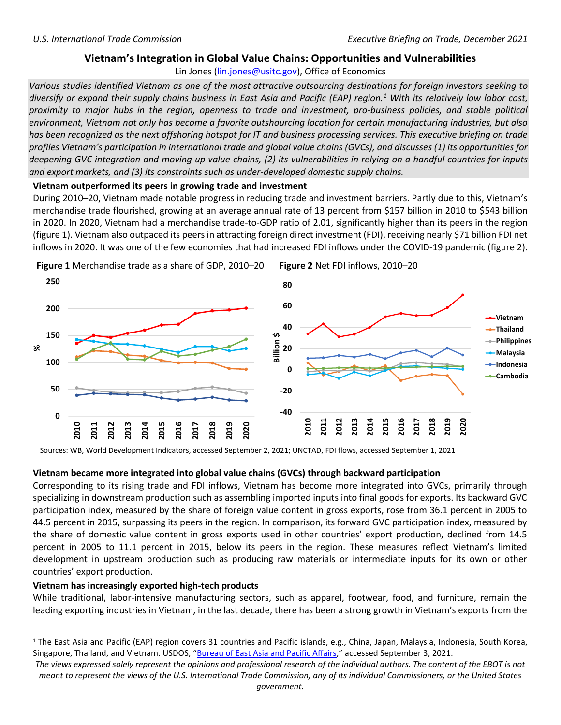# **Vietnam's Integration in Global Value Chains: Opportunities and Vulnerabilities**

Lin Jones [\(lin.jones@usitc.gov\)](mailto:lin.jones@usitc.gov), Office of Economics

*Various studies identified Vietnam as one of the most attractive outsourcing destinations for foreign investors seeking to diversify or expand their supply chains business in East Asia and Pacific (EAP) region.[1](#page-0-0) With its relatively low labor cost, proximity to major hubs in the region, openness to trade and investment, pro-business policies, and stable political environment, Vietnam not only has become a favorite outshourcing location for certain manufacturing industries, but also has been recognized as the next offshoring hotspot for IT and business processing services. This executive briefing on trade profiles Vietnam's participation in international trade and global value chains (GVCs), and discusses (1) its opportunities for deepening GVC integration and moving up value chains, (2) its vulnerabilities in relying on a handful countries for inputs and export markets, and (3) its constraints such as under-developed domestic supply chains.* 

**Vietnam outperformed its peers in growing trade and investment**

<span id="page-0-0"></span>During 2010–20, Vietnam made notable progress in reducing trade and investment barriers. Partly due to this, Vietnam's merchandise trade flourished, growing at an average annual rate of 13 percent from \$157 billion in 2010 to \$543 billion in 2020. In 2020, Vietnam had a merchandise trade-to-GDP ratio of 2.01, significantly higher than its peers in the region (figure 1). Vietnam also outpaced its peers in attracting foreign direct investment (FDI), receiving nearly \$71 billion FDI net inflows in 2020. It was one of the few economies that had increased FDI inflows under the COVID-19 pandemic (figure 2).



Sources: WB, World Development Indicators, accessed September 2, 2021; UNCTAD, FDI flows, accessed September 1, 2021

## **Vietnam became more integrated into global value chains (GVCs) through backward participation**

Corresponding to its rising trade and FDI inflows, Vietnam has become more integrated into GVCs, primarily through specializing in downstream production such as assembling imported inputs into final goods for exports. Its backward GVC participation index, measured by the share of foreign value content in gross exports, rose from 36.1 percent in 2005 to 44.5 percent in 2015, surpassing its peers in the region. In comparison, its forward GVC participation index, measured by the share of domestic value content in gross exports used in other countries' export production, declined from 14.5 percent in 2005 to 11.1 percent in 2015, below its peers in the region. These measures reflect Vietnam's limited development in upstream production such as producing raw materials or intermediate inputs for its own or other countries' export production.

## **Vietnam has increasingly exported high-tech products**

While traditional, labor-intensive manufacturing sectors, such as apparel, footwear, food, and furniture, remain the leading exporting industries in Vietnam, in the last decade, there has been a strong growth in Vietnam's exports from the

<sup>&</sup>lt;sup>1</sup> The East Asia and Pacific (EAP) region covers 31 countries and Pacific islands, e.g., China, Japan, Malaysia, Indonesia, South Korea, Singapore, Thailand, and Vietnam. USDOS, ["Bureau of East Asia and Pacific Affairs,"](https://2001-2009.state.gov/p/eap/ci/index.htm) accessed September 3, 2021.

*The views expressed solely represent the opinions and professional research of the individual authors. The content of the EBOT is not meant to represent the views of the U.S. International Trade Commission, any of its individual Commissioners, or the United States government.*